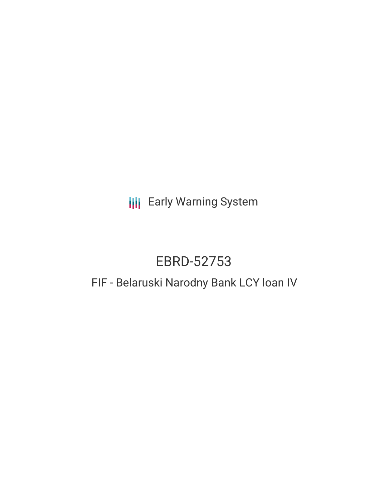**III** Early Warning System

# EBRD-52753

# FIF - Belaruski Narodny Bank LCY loan IV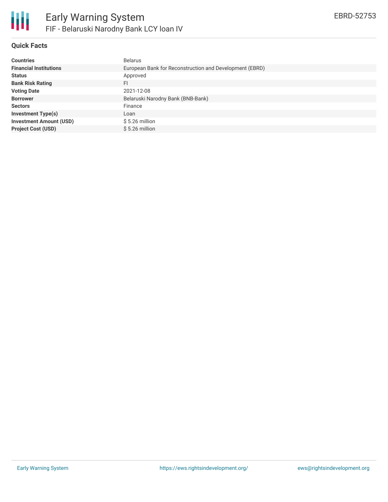

## **Quick Facts**

| <b>Countries</b>               | <b>Belarus</b>                                          |
|--------------------------------|---------------------------------------------------------|
| <b>Financial Institutions</b>  | European Bank for Reconstruction and Development (EBRD) |
| <b>Status</b>                  | Approved                                                |
| <b>Bank Risk Rating</b>        | FI                                                      |
| <b>Voting Date</b>             | 2021-12-08                                              |
| <b>Borrower</b>                | Belaruski Narodny Bank (BNB-Bank)                       |
| <b>Sectors</b>                 | Finance                                                 |
| <b>Investment Type(s)</b>      | Loan                                                    |
| <b>Investment Amount (USD)</b> | $$5.26$ million                                         |
| <b>Project Cost (USD)</b>      | $$5.26$ million                                         |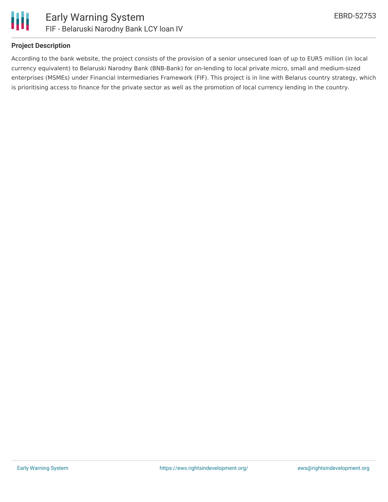

### **Project Description**

According to the bank website, the project consists of the provision of a senior unsecured loan of up to EUR5 million (in local currency equivalent) to Belaruski Narodny Bank (BNB-Bank) for on-lending to local private micro, small and medium-sized enterprises (MSMEs) under Financial Intermediaries Framework (FIF). This project is in line with Belarus country strategy, which is prioritising access to finance for the private sector as well as the promotion of local currency lending in the country.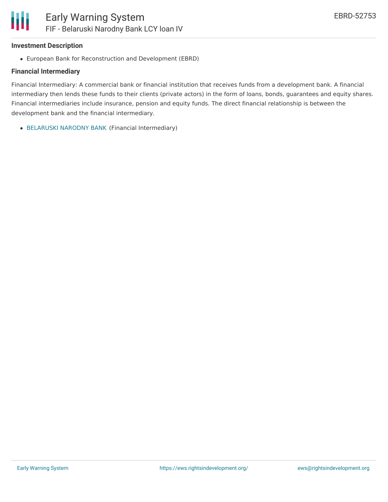#### **Investment Description**

European Bank for Reconstruction and Development (EBRD)

#### **Financial Intermediary**

Financial Intermediary: A commercial bank or financial institution that receives funds from a development bank. A financial intermediary then lends these funds to their clients (private actors) in the form of loans, bonds, guarantees and equity shares. Financial intermediaries include insurance, pension and equity funds. The direct financial relationship is between the development bank and the financial intermediary.

[BELARUSKI](file:///actor/3787/) NARODNY BANK (Financial Intermediary)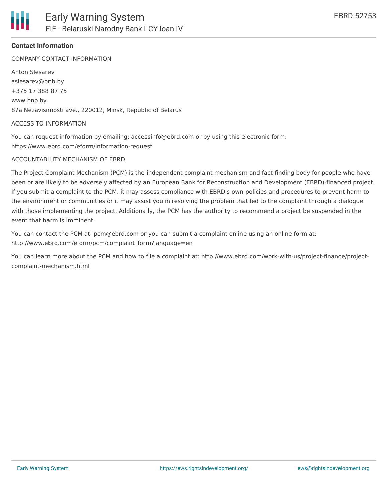COMPANY CONTACT INFORMATION

Anton Slesarev aslesarev@bnb.by +375 17 388 87 75 www.bnb.by 87a Nezavisimosti ave., 220012, Minsk, Republic of Belarus

#### ACCESS TO INFORMATION

You can request information by emailing: accessinfo@ebrd.com or by using this electronic form: https://www.ebrd.com/eform/information-request

#### ACCOUNTABILITY MECHANISM OF EBRD

The Project Complaint Mechanism (PCM) is the independent complaint mechanism and fact-finding body for people who have been or are likely to be adversely affected by an European Bank for Reconstruction and Development (EBRD)-financed project. If you submit a complaint to the PCM, it may assess compliance with EBRD's own policies and procedures to prevent harm to the environment or communities or it may assist you in resolving the problem that led to the complaint through a dialogue with those implementing the project. Additionally, the PCM has the authority to recommend a project be suspended in the event that harm is imminent.

You can contact the PCM at: pcm@ebrd.com or you can submit a complaint online using an online form at: http://www.ebrd.com/eform/pcm/complaint\_form?language=en

You can learn more about the PCM and how to file a complaint at: http://www.ebrd.com/work-with-us/project-finance/projectcomplaint-mechanism.html